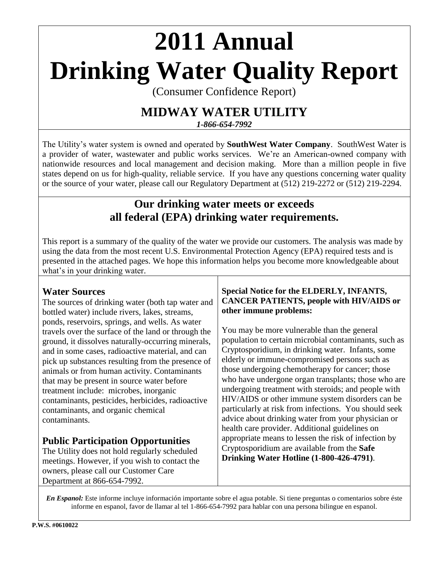# **2011 Annual Drinking Water Quality Report**

(Consumer Confidence Report)

# **MIDWAY WATER UTILITY**

*1-866-654-7992*

The Utility's water system is owned and operated by **SouthWest Water Company**. SouthWest Water is a provider of water, wastewater and public works services. We're an American-owned company with nationwide resources and local management and decision making. More than a million people in five states depend on us for high-quality, reliable service. If you have any questions concerning water quality or the source of your water, please call our Regulatory Department at (512) 219-2272 or (512) 219-2294.

# **Our drinking water meets or exceeds all federal (EPA) drinking water requirements.**

This report is a summary of the quality of the water we provide our customers. The analysis was made by using the data from the most recent U.S. Environmental Protection Agency (EPA) required tests and is presented in the attached pages. We hope this information helps you become more knowledgeable about what's in your drinking water.

# **Water Sources**

The sources of drinking water (both tap water and bottled water) include rivers, lakes, streams, ponds, reservoirs, springs, and wells. As water travels over the surface of the land or through the ground, it dissolves naturally-occurring minerals, and in some cases, radioactive material, and can pick up substances resulting from the presence of animals or from human activity. Contaminants that may be present in source water before treatment include: microbes, inorganic contaminants, pesticides, herbicides, radioactive contaminants, and organic chemical contaminants.

# **Public Participation Opportunities**

The Utility does not hold regularly scheduled meetings. However, if you wish to contact the owners, please call our Customer Care Department at 866-654-7992.

## **Special Notice for the ELDERLY, INFANTS, CANCER PATIENTS, people with HIV/AIDS or other immune problems:**

You may be more vulnerable than the general population to certain microbial contaminants, such as Cryptosporidium, in drinking water. Infants, some elderly or immune-compromised persons such as those undergoing chemotherapy for cancer; those who have undergone organ transplants; those who are undergoing treatment with steroids; and people with HIV/AIDS or other immune system disorders can be particularly at risk from infections. You should seek advice about drinking water from your physician or health care provider. Additional guidelines on appropriate means to lessen the risk of infection by Cryptosporidium are available from the **Safe Drinking Water Hotline (1-800-426-4791)**.

*En Espanol:* Este informe incluye información importante sobre el agua potable. Si tiene preguntas o comentarios sobre éste informe en espanol, favor de llamar al tel 1-866-654-7992 para hablar con una persona bilingue en espanol.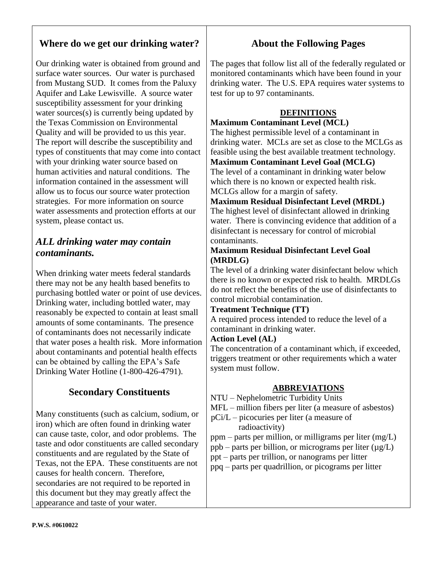# **Where do we get our drinking water?**

Our drinking water is obtained from ground and surface water sources. Our water is purchased from Mustang SUD. It comes from the Paluxy Aquifer and Lake Lewisville. A source water susceptibility assessment for your drinking water sources(s) is currently being updated by the Texas Commission on Environmental Quality and will be provided to us this year. The report will describe the susceptibility and types of constituents that may come into contact with your drinking water source based on human activities and natural conditions. The information contained in the assessment will allow us to focus our source water protection strategies. For more information on source water assessments and protection efforts at our system, please contact us.

# *ALL drinking water may contain contaminants.*

When drinking water meets federal standards there may not be any health based benefits to purchasing bottled water or point of use devices. Drinking water, including bottled water, may reasonably be expected to contain at least small amounts of some contaminants. The presence of contaminants does not necessarily indicate that water poses a health risk. More information about contaminants and potential health effects can be obtained by calling the EPA's Safe Drinking Water Hotline (1-800-426-4791).

# **Secondary Constituents**

Many constituents (such as calcium, sodium, or iron) which are often found in drinking water can cause taste, color, and odor problems. The taste and odor constituents are called secondary constituents and are regulated by the State of Texas, not the EPA. These constituents are not causes for health concern. Therefore, secondaries are not required to be reported in this document but they may greatly affect the appearance and taste of your water.

# **About the Following Pages**

The pages that follow list all of the federally regulated or monitored contaminants which have been found in your drinking water. The U.S. EPA requires water systems to test for up to 97 contaminants.

## **DEFINITIONS**

#### **Maximum Contaminant Level (MCL)**

The highest permissible level of a contaminant in drinking water. MCLs are set as close to the MCLGs as feasible using the best available treatment technology. **Maximum Contaminant Level Goal (MCLG)** The level of a contaminant in drinking water below which there is no known or expected health risk.

MCLGs allow for a margin of safety.

# **Maximum Residual Disinfectant Level (MRDL)**

The highest level of disinfectant allowed in drinking water. There is convincing evidence that addition of a disinfectant is necessary for control of microbial contaminants.

### **Maximum Residual Disinfectant Level Goal (MRDLG)**

The level of a drinking water disinfectant below which there is no known or expected risk to health. MRDLGs do not reflect the benefits of the use of disinfectants to control microbial contamination.

### **Treatment Technique (TT)**

A required process intended to reduce the level of a contaminant in drinking water.

### **Action Level (AL)**

The concentration of a contaminant which, if exceeded, triggers treatment or other requirements which a water system must follow.

### **ABBREVIATIONS**

NTU – Nephelometric Turbidity Units

- MFL million fibers per liter (a measure of asbestos)
- pCi/L picocuries per liter (a measure of radioactivity)
- ppm parts per million, or milligrams per liter (mg/L)
- ppb parts per billion, or micrograms per liter  $(\mu g/L)$
- ppt parts per trillion, or nanograms per litter
- ppq parts per quadrillion, or picograms per litter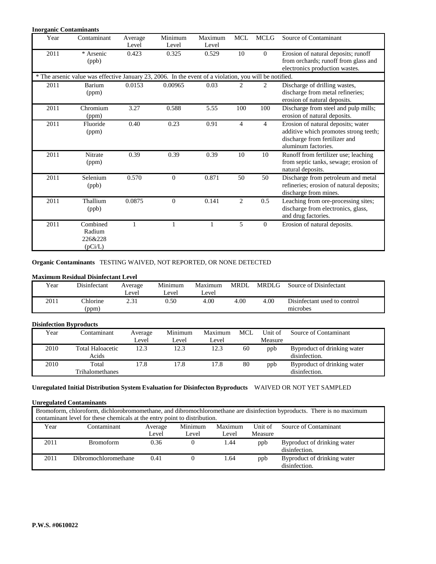#### **Inorganic Contaminants**

| Year | Contaminant                                                                                            | Average<br>Level | Minimum<br>Level | Maximum<br>Level | <b>MCL</b>     | <b>MCLG</b>      | Source of Contaminant                                                                                                               |  |  |  |
|------|--------------------------------------------------------------------------------------------------------|------------------|------------------|------------------|----------------|------------------|-------------------------------------------------------------------------------------------------------------------------------------|--|--|--|
| 2011 | * Arsenic<br>(ppb)                                                                                     | 0.423            | 0.325            | 0.529            | 10             | $\mathbf{0}$     | Erosion of natural deposits; runoff<br>from orchards; runoff from glass and<br>electronics production wastes.                       |  |  |  |
|      | * The arsenic value was effective January 23, 2006. In the event of a violation, you will be notified. |                  |                  |                  |                |                  |                                                                                                                                     |  |  |  |
| 2011 | Barium<br>(ppm)                                                                                        | 0.0153           | 0.00965          | 0.03             | $\overline{c}$ | 2                | Discharge of drilling wastes,<br>discharge from metal refineries;<br>erosion of natural deposits.                                   |  |  |  |
| 2011 | Chromium<br>(ppm)                                                                                      | 3.27             | 0.588            | 5.55             | 100            | 100              | Discharge from steel and pulp mills;<br>erosion of natural deposits.                                                                |  |  |  |
| 2011 | Fluoride<br>(ppm)                                                                                      | 0.40             | 0.23             | 0.91             | $\overline{4}$ | $\overline{4}$   | Erosion of natural deposits; water<br>additive which promotes strong teeth;<br>discharge from fertilizer and<br>aluminum factories. |  |  |  |
| 2011 | Nitrate<br>(ppm)                                                                                       | 0.39             | 0.39             | 0.39             | 10             | 10               | Runoff from fertilizer use; leaching<br>from septic tanks, sewage; erosion of<br>natural deposits.                                  |  |  |  |
| 2011 | Selenium<br>(ppb)                                                                                      | 0.570            | $\Omega$         | 0.871            | 50             | 50               | Discharge from petroleum and metal<br>refineries; erosion of natural deposits;<br>discharge from mines.                             |  |  |  |
| 2011 | Thallium<br>(ppb)                                                                                      | 0.0875           | $\overline{0}$   | 0.141            | 2              | 0.5              | Leaching from ore-processing sites;<br>discharge from electronics, glass,<br>and drug factories.                                    |  |  |  |
| 2011 | Combined<br>Radium<br>226&228<br>(pCi/L)                                                               |                  |                  |                  | 5              | $\boldsymbol{0}$ | Erosion of natural deposits.                                                                                                        |  |  |  |

**Organic Contaminants** TESTING WAIVED, NOT REPORTED, OR NONE DETECTED

#### **Maximum Residual Disinfectant Level**

| Year | Disinfectant             | Average<br>Level | Minimum<br>evel | Maximum<br>Level  | <b>MRDL</b> | MRDLG | Source of Disinfectant                   |
|------|--------------------------|------------------|-----------------|-------------------|-------------|-------|------------------------------------------|
| 2011 | <b>Chlorine</b><br>(ppm) |                  | 0.50            | 4.00 <sub>1</sub> | 4.00        | 4.00  | Disinfectant used to control<br>microbes |

#### **Disinfection Byproducts**

| Year | Contaminant                      | Average | Minimum | Maximum | MCL | Unit of | Source of Contaminant                        |
|------|----------------------------------|---------|---------|---------|-----|---------|----------------------------------------------|
|      |                                  | Level   | Level   | Level   |     | Measure |                                              |
| 2010 | <b>Total Haloacetic</b><br>Acids | 12.3    | 12.3    | 12.3    | 60  | ppb     | Byproduct of drinking water<br>disinfection. |
| 2010 | Total<br>Trihalomethanes         | 17.8    | 17.8    | 17.8    | 80  | ppb     | Byproduct of drinking water<br>disinfection. |

#### **Unregulated Initial Distribution System Evaluation for Disinfecton Byproducts** WAIVED OR NOT YET SAMPLED

#### **Unregulated Contaminants**

| Bromoform, chloroform, dichlorobromomethane, and dibromochloromethane are disinfection byproducts. There is no maximum<br>contaminant level for these chemicals at the entry point to distribution. |                      |       |                |       |         |                                              |  |  |
|-----------------------------------------------------------------------------------------------------------------------------------------------------------------------------------------------------|----------------------|-------|----------------|-------|---------|----------------------------------------------|--|--|
| Minimum<br>Maximum<br>Source of Contaminant<br>Year<br>Contaminant<br>Unit of<br>Average                                                                                                            |                      |       |                |       |         |                                              |  |  |
|                                                                                                                                                                                                     |                      | Level | Level          | Level | Measure |                                              |  |  |
| 2011                                                                                                                                                                                                | <b>Bromoform</b>     | 0.36  | $\overline{0}$ | 1.44  | ppb     | Byproduct of drinking water<br>disinfection. |  |  |
| 2011                                                                                                                                                                                                | Dibromochloromethane | 0.41  |                | 1.64  | ppb     | Byproduct of drinking water<br>disinfection. |  |  |